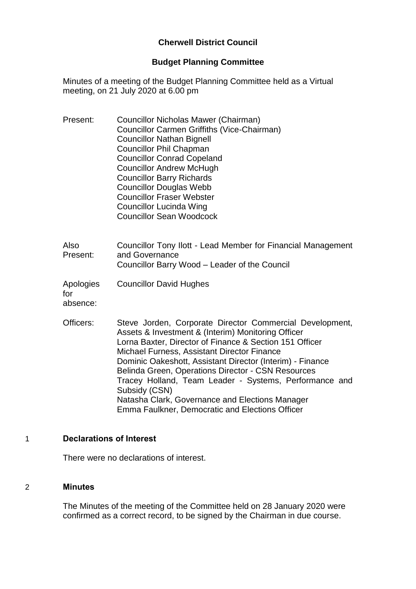## **Cherwell District Council**

### **Budget Planning Committee**

Minutes of a meeting of the Budget Planning Committee held as a Virtual meeting, on 21 July 2020 at 6.00 pm

- Present: Councillor Nicholas Mawer (Chairman) Councillor Carmen Griffiths (Vice-Chairman) Councillor Nathan Bignell Councillor Phil Chapman Councillor Conrad Copeland Councillor Andrew McHugh Councillor Barry Richards Councillor Douglas Webb Councillor Fraser Webster Councillor Lucinda Wing Councillor Sean Woodcock
- Also Present: Councillor Tony Ilott - Lead Member for Financial Management and Governance Councillor Barry Wood – Leader of the Council
- Apologies for Councillor David Hughes

absence:

Officers: Steve Jorden, Corporate Director Commercial Development, Assets & Investment & (Interim) Monitoring Officer Lorna Baxter, Director of Finance & Section 151 Officer Michael Furness, Assistant Director Finance Dominic Oakeshott, Assistant Director (Interim) - Finance Belinda Green, Operations Director - CSN Resources Tracey Holland, Team Leader - Systems, Performance and Subsidy (CSN) Natasha Clark, Governance and Elections Manager Emma Faulkner, Democratic and Elections Officer

## 1 **Declarations of Interest**

There were no declarations of interest.

#### 2 **Minutes**

The Minutes of the meeting of the Committee held on 28 January 2020 were confirmed as a correct record, to be signed by the Chairman in due course.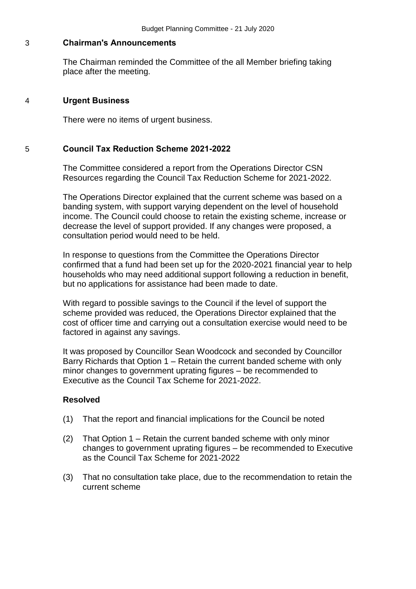#### 3 **Chairman's Announcements**

The Chairman reminded the Committee of the all Member briefing taking place after the meeting.

#### 4 **Urgent Business**

There were no items of urgent business.

### 5 **Council Tax Reduction Scheme 2021-2022**

The Committee considered a report from the Operations Director CSN Resources regarding the Council Tax Reduction Scheme for 2021-2022.

The Operations Director explained that the current scheme was based on a banding system, with support varying dependent on the level of household income. The Council could choose to retain the existing scheme, increase or decrease the level of support provided. If any changes were proposed, a consultation period would need to be held.

In response to questions from the Committee the Operations Director confirmed that a fund had been set up for the 2020-2021 financial year to help households who may need additional support following a reduction in benefit, but no applications for assistance had been made to date.

With regard to possible savings to the Council if the level of support the scheme provided was reduced, the Operations Director explained that the cost of officer time and carrying out a consultation exercise would need to be factored in against any savings.

It was proposed by Councillor Sean Woodcock and seconded by Councillor Barry Richards that Option 1 – Retain the current banded scheme with only minor changes to government uprating figures – be recommended to Executive as the Council Tax Scheme for 2021-2022.

## **Resolved**

- (1) That the report and financial implications for the Council be noted
- (2) That Option 1 Retain the current banded scheme with only minor changes to government uprating figures – be recommended to Executive as the Council Tax Scheme for 2021-2022
- (3) That no consultation take place, due to the recommendation to retain the current scheme